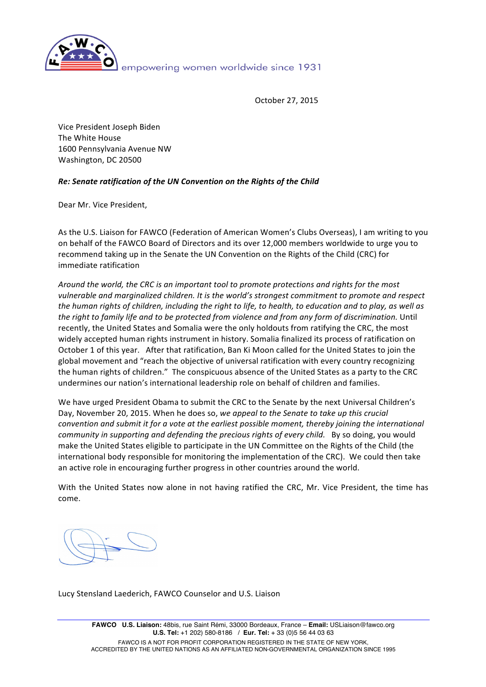

October 27, 2015

Vice President Joseph Biden The White House 1600 Pennsylvania Avenue NW Washington, DC 20500

## **Re: Senate ratification of the UN Convention on the Rights of the Child**

Dear Mr. Vice President,

As the U.S. Liaison for FAWCO (Federation of American Women's Clubs Overseas), I am writing to you on behalf of the FAWCO Board of Directors and its over 12,000 members worldwide to urge you to recommend taking up in the Senate the UN Convention on the Rights of the Child (CRC) for immediate ratification

Around the world, the CRC is an important tool to promote protections and rights for the most vulnerable and marginalized children. It is the world's strongest commitment to promote and respect *the human rights of children, including the right to life, to health, to education and to play, as well as* the right to family life and to be protected from violence and from any form of discrimination. Until recently, the United States and Somalia were the only holdouts from ratifying the CRC, the most widely accepted human rights instrument in history. Somalia finalized its process of ratification on October 1 of this year. After that ratification, Ban Ki Moon called for the United States to join the global movement and "reach the objective of universal ratification with every country recognizing the human rights of children." The conspicuous absence of the United States as a party to the CRC undermines our nation's international leadership role on behalf of children and families.

We have urged President Obama to submit the CRC to the Senate by the next Universal Children's Day, November 20, 2015. When he does so, we appeal to the Senate to take up this crucial *convention and submit it for a vote at the earliest possible moment, thereby joining the international* community in supporting and defending the precious rights of every child. By so doing, you would make the United States eligible to participate in the UN Committee on the Rights of the Child (the international body responsible for monitoring the implementation of the CRC). We could then take an active role in encouraging further progress in other countries around the world.

With the United States now alone in not having ratified the CRC, Mr. Vice President, the time has come.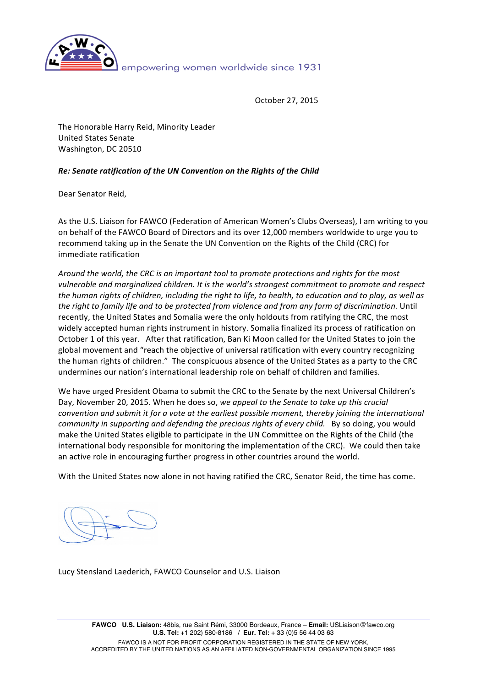

October 27, 2015

The Honorable Harry Reid, Minority Leader United States Senate Washington, DC 20510

## **Re: Senate ratification of the UN Convention on the Rights of the Child**

Dear Senator Reid,

As the U.S. Liaison for FAWCO (Federation of American Women's Clubs Overseas), I am writing to you on behalf of the FAWCO Board of Directors and its over 12,000 members worldwide to urge you to recommend taking up in the Senate the UN Convention on the Rights of the Child (CRC) for immediate ratification

Around the world, the CRC is an important tool to promote protections and rights for the most vulnerable and marginalized children. It is the world's strongest commitment to promote and respect *the human rights of children, including the right to life, to health, to education and to play, as well as* the right to family life and to be protected from violence and from any form of discrimination. Until recently, the United States and Somalia were the only holdouts from ratifying the CRC, the most widely accepted human rights instrument in history. Somalia finalized its process of ratification on October 1 of this year. After that ratification, Ban Ki Moon called for the United States to join the global movement and "reach the objective of universal ratification with every country recognizing the human rights of children." The conspicuous absence of the United States as a party to the CRC undermines our nation's international leadership role on behalf of children and families.

We have urged President Obama to submit the CRC to the Senate by the next Universal Children's Day, November 20, 2015. When he does so, we appeal to the Senate to take up this crucial *convention and submit it for a vote at the earliest possible moment, thereby joining the international community in supporting and defending the precious rights of every child.* By so doing, you would make the United States eligible to participate in the UN Committee on the Rights of the Child (the international body responsible for monitoring the implementation of the CRC). We could then take an active role in encouraging further progress in other countries around the world.

With the United States now alone in not having ratified the CRC, Senator Reid, the time has come.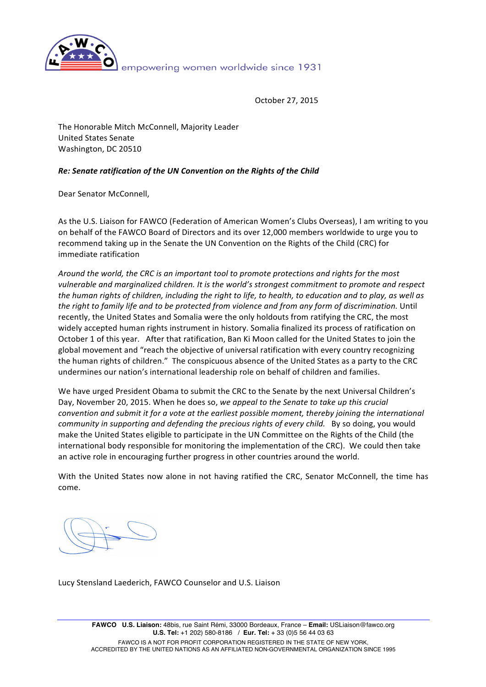

October 27, 2015

The Honorable Mitch McConnell, Majority Leader United States Senate Washington, DC 20510

## **Re: Senate ratification of the UN Convention on the Rights of the Child**

Dear Senator McConnell,

As the U.S. Liaison for FAWCO (Federation of American Women's Clubs Overseas), I am writing to you on behalf of the FAWCO Board of Directors and its over 12,000 members worldwide to urge you to recommend taking up in the Senate the UN Convention on the Rights of the Child (CRC) for immediate ratification

Around the world, the CRC is an important tool to promote protections and rights for the most vulnerable and marginalized children. It is the world's strongest commitment to promote and respect *the human rights of children, including the right to life, to health, to education and to play, as well as* the right to family life and to be protected from violence and from any form of discrimination. Until recently, the United States and Somalia were the only holdouts from ratifying the CRC, the most widely accepted human rights instrument in history. Somalia finalized its process of ratification on October 1 of this year. After that ratification, Ban Ki Moon called for the United States to join the global movement and "reach the objective of universal ratification with every country recognizing the human rights of children." The conspicuous absence of the United States as a party to the CRC undermines our nation's international leadership role on behalf of children and families.

We have urged President Obama to submit the CRC to the Senate by the next Universal Children's Day, November 20, 2015. When he does so, we appeal to the Senate to take up this crucial *convention and submit it for a vote at the earliest possible moment, thereby joining the international community in supporting and defending the precious rights of every child.* By so doing, you would make the United States eligible to participate in the UN Committee on the Rights of the Child (the international body responsible for monitoring the implementation of the CRC). We could then take an active role in encouraging further progress in other countries around the world.

With the United States now alone in not having ratified the CRC, Senator McConnell, the time has come.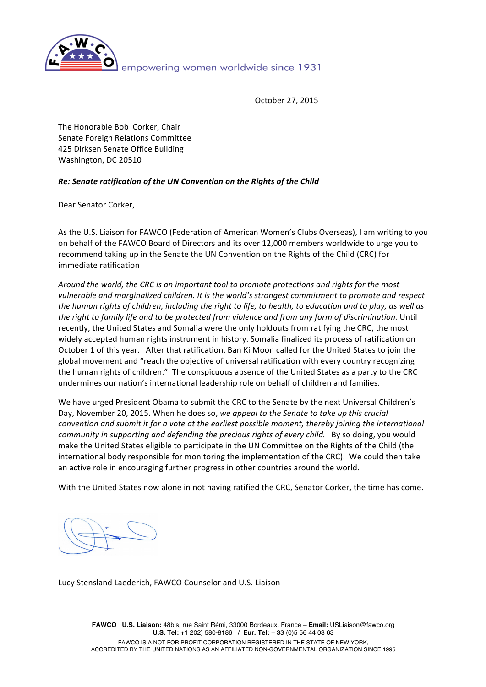

October 27, 2015

The Honorable Bob Corker, Chair Senate Foreign Relations Committee 425 Dirksen Senate Office Building Washington, DC 20510

# **Re: Senate ratification of the UN Convention on the Rights of the Child**

Dear Senator Corker,

As the U.S. Liaison for FAWCO (Federation of American Women's Clubs Overseas), I am writing to you on behalf of the FAWCO Board of Directors and its over 12,000 members worldwide to urge you to recommend taking up in the Senate the UN Convention on the Rights of the Child (CRC) for immediate ratification

Around the world, the CRC is an important tool to promote protections and rights for the most vulnerable and marginalized children. It is the world's strongest commitment to promote and respect *the human rights of children, including the right to life, to health, to education and to play, as well as* the right to family life and to be protected from violence and from any form of discrimination. Until recently, the United States and Somalia were the only holdouts from ratifying the CRC, the most widely accepted human rights instrument in history. Somalia finalized its process of ratification on October 1 of this year. After that ratification, Ban Ki Moon called for the United States to join the global movement and "reach the objective of universal ratification with every country recognizing the human rights of children." The conspicuous absence of the United States as a party to the CRC undermines our nation's international leadership role on behalf of children and families.

We have urged President Obama to submit the CRC to the Senate by the next Universal Children's Day, November 20, 2015. When he does so, we appeal to the Senate to take up this crucial *convention and submit it for a vote at the earliest possible moment, thereby joining the international community* in supporting and defending the precious rights of every child. By so doing, you would make the United States eligible to participate in the UN Committee on the Rights of the Child (the international body responsible for monitoring the implementation of the CRC). We could then take an active role in encouraging further progress in other countries around the world.

With the United States now alone in not having ratified the CRC, Senator Corker, the time has come.